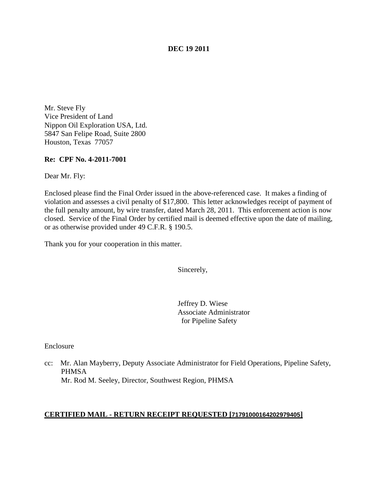## **DEC 19 2011**

Mr. Steve Fly Vice President of Land Nippon Oil Exploration USA, Ltd. 5847 San Felipe Road, Suite 2800 Houston, Texas 77057

## **Re: CPF No. 4-2011-7001**

Dear Mr. Fly:

Enclosed please find the Final Order issued in the above-referenced case. It makes a finding of violation and assesses a civil penalty of \$17,800. This letter acknowledges receipt of payment of the full penalty amount, by wire transfer, dated March 28, 2011. This enforcement action is now closed. Service of the Final Order by certified mail is deemed effective upon the date of mailing, or as otherwise provided under 49 C.F.R. § 190.5.

Thank you for your cooperation in this matter.

Sincerely,

Jeffrey D. Wiese Associate Administrator for Pipeline Safety

Enclosure

cc: Mr. Alan Mayberry, Deputy Associate Administrator for Field Operations, Pipeline Safety, PHMSA Mr. Rod M. Seeley, Director, Southwest Region, PHMSA

#### **CERTIFIED MAIL - RETURN RECEIPT REQUESTED [71791000164202979405]**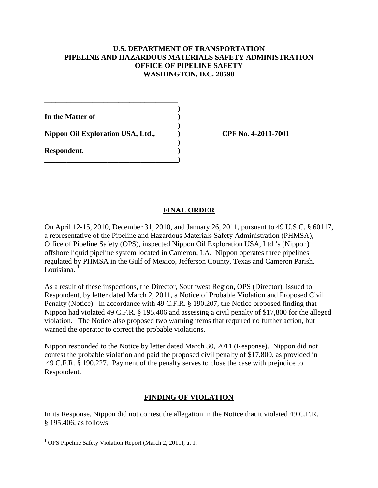# **U.S. DEPARTMENT OF TRANSPORTATION PIPELINE AND HAZARDOUS MATERIALS SAFETY ADMINISTRATION OFFICE OF PIPELINE SAFETY WASHINGTON, D.C. 20590**

**)**

**)**

**)**

**In the Matter of )**

**Nippon Oil Exploration USA, Ltd., ) CPF No. 4-2011-7001**

**\_\_\_\_\_\_\_\_\_\_\_\_\_\_\_\_\_\_\_\_\_\_\_\_\_\_\_\_\_\_\_\_\_\_\_\_**

**\_\_\_\_\_\_\_\_\_\_\_\_\_\_\_\_\_\_\_\_\_\_\_\_\_\_\_\_\_\_\_\_\_\_\_\_)**

**Respondent. )**

# **FINAL ORDER**

On April 12-15, 2010, December 31, 2010, and January 26, 2011, pursuant to 49 U.S.C. § 60117, a representative of the Pipeline and Hazardous Materials Safety Administration (PHMSA), Office of Pipeline Safety (OPS), inspected Nippon Oil Exploration USA, Ltd.'s (Nippon) offshore liquid pipeline system located in Cameron, LA. Nippon operates three pipelines regulated by PHMSA in the Gulf of Mexico, Jefferson County, Texas and Cameron Parish, Louisiana.

As a result of these inspections, the Director, Southwest Region, OPS (Director), issued to Respondent, by letter dated March 2, 2011, a Notice of Probable Violation and Proposed Civil Penalty (Notice). In accordance with 49 C.F.R. § 190.207, the Notice proposed finding that Nippon had violated 49 C.F.R. § 195.406 and assessing a civil penalty of \$17,800 for the alleged violation. The Notice also proposed two warning items that required no further action, but warned the operator to correct the probable violations.

Nippon responded to the Notice by letter dated March 30, 2011 (Response). Nippon did not contest the probable violation and paid the proposed civil penalty of \$17,800, as provided in 49 C.F.R. § 190.227. Payment of the penalty serves to close the case with prejudice to Respondent.

# **FINDING OF VIOLATION**

In its Response, Nippon did not contest the allegation in the Notice that it violated 49 C.F.R. § 195.406, as follows:

<span id="page-1-0"></span><sup>&</sup>lt;sup>1</sup> OPS Pipeline Safety Violation Report (March 2, 2011), at 1.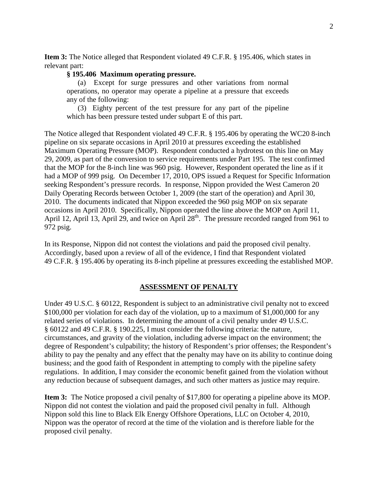**Item 3:** The Notice alleged that Respondent violated 49 C.F.R. § 195.406, which states in relevant part:

## **§ 195.406 Maximum operating pressure.**

(a) Except for surge pressures and other variations from normal operations, no operator may operate a pipeline at a pressure that exceeds any of the following:

(3) Eighty percent of the test pressure for any part of the pipeline which has been pressure tested under subpart E of this part.

The Notice alleged that Respondent violated 49 C.F.R. § 195.406 by operating the WC20 8-inch pipeline on six separate occasions in April 2010 at pressures exceeding the established Maximum Operating Pressure (MOP). Respondent conducted a hydrotest on this line on May 29, 2009, as part of the conversion to service requirements under Part 195. The test confirmed that the MOP for the 8-inch line was 960 psig. However, Respondent operated the line as if it had a MOP of 999 psig. On December 17, 2010, OPS issued a Request for Specific Information seeking Respondent's pressure records. In response, Nippon provided the West Cameron 20 Daily Operating Records between October 1, 2009 (the start of the operation) and April 30, 2010. The documents indicated that Nippon exceeded the 960 psig MOP on six separate occasions in April 2010. Specifically, Nippon operated the line above the MOP on April 11, April 12, April 13, April 29, and twice on April  $28<sup>th</sup>$ . The pressure recorded ranged from 961 to 972 psig.

In its Response, Nippon did not contest the violations and paid the proposed civil penalty. Accordingly, based upon a review of all of the evidence, I find that Respondent violated 49 C.F.R. § 195.406 by operating its 8-inch pipeline at pressures exceeding the established MOP.

#### **ASSESSMENT OF PENALTY**

Under 49 U.S.C. § 60122, Respondent is subject to an administrative civil penalty not to exceed \$100,000 per violation for each day of the violation, up to a maximum of \$1,000,000 for any related series of violations. In determining the amount of a civil penalty under 49 U.S.C. § 60122 and 49 C.F.R. § 190.225, I must consider the following criteria: the nature, circumstances, and gravity of the violation, including adverse impact on the environment; the degree of Respondent's culpability; the history of Respondent's prior offenses; the Respondent's ability to pay the penalty and any effect that the penalty may have on its ability to continue doing business; and the good faith of Respondent in attempting to comply with the pipeline safety regulations. In addition, I may consider the economic benefit gained from the violation without any reduction because of subsequent damages, and such other matters as justice may require.

**Item 3:** The Notice proposed a civil penalty of \$17,800 for operating a pipeline above its MOP. Nippon did not contest the violation and paid the proposed civil penalty in full. Although Nippon sold this line to Black Elk Energy Offshore Operations, LLC on October 4, 2010, Nippon was the operator of record at the time of the violation and is therefore liable for the proposed civil penalty.